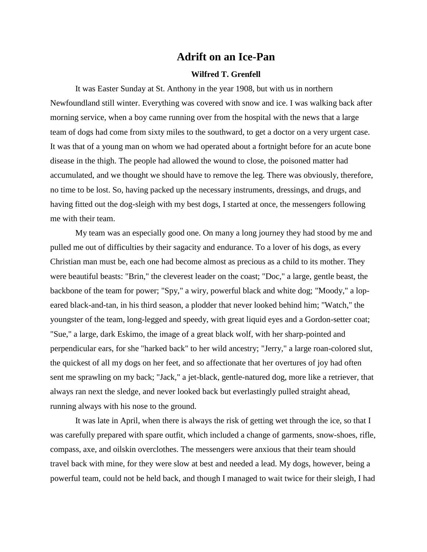## **Adrift on an Ice-Pan**

## **Wilfred T. Grenfell**

It was Easter Sunday at St. Anthony in the year 1908, but with us in northern Newfoundland still winter. Everything was covered with snow and ice. I was walking back after morning service, when a boy came running over from the hospital with the news that a large team of dogs had come from sixty miles to the southward, to get a doctor on a very urgent case. It was that of a young man on whom we had operated about a fortnight before for an acute bone disease in the thigh. The people had allowed the wound to close, the poisoned matter had accumulated, and we thought we should have to remove the leg. There was obviously, therefore, no time to be lost. So, having packed up the necessary instruments, dressings, and drugs, and having fitted out the dog-sleigh with my best dogs, I started at once, the messengers following me with their team.

My team was an especially good one. On many a long journey they had stood by me and pulled me out of difficulties by their sagacity and endurance. To a lover of his dogs, as every Christian man must be, each one had become almost as precious as a child to its mother. They were beautiful beasts: "Brin," the cleverest leader on the coast; "Doc," a large, gentle beast, the backbone of the team for power; "Spy," a wiry, powerful black and white dog; "Moody," a lopeared black-and-tan, in his third season, a plodder that never looked behind him; "Watch," the youngster of the team, long-legged and speedy, with great liquid eyes and a Gordon-setter coat; "Sue," a large, dark Eskimo, the image of a great black wolf, with her sharp-pointed and perpendicular ears, for she "harked back" to her wild ancestry; "Jerry," a large roan-colored slut, the quickest of all my dogs on her feet, and so affectionate that her overtures of joy had often sent me sprawling on my back; "Jack," a jet-black, gentle-natured dog, more like a retriever, that always ran next the sledge, and never looked back but everlastingly pulled straight ahead, running always with his nose to the ground.

It was late in April, when there is always the risk of getting wet through the ice, so that I was carefully prepared with spare outfit, which included a change of garments, snow-shoes, rifle, compass, axe, and oilskin overclothes. The messengers were anxious that their team should travel back with mine, for they were slow at best and needed a lead. My dogs, however, being a powerful team, could not be held back, and though I managed to wait twice for their sleigh, I had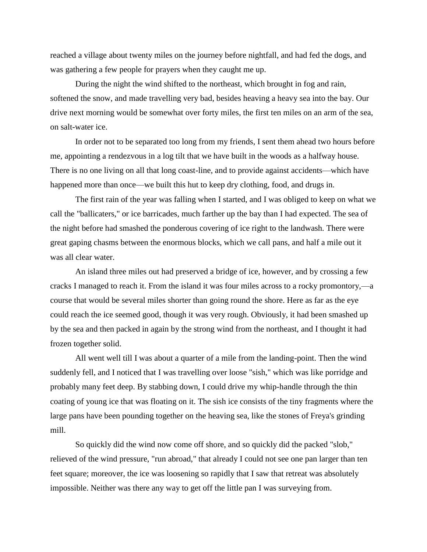reached a village about twenty miles on the journey before nightfall, and had fed the dogs, and was gathering a few people for prayers when they caught me up.

During the night the wind shifted to the northeast, which brought in fog and rain, softened the snow, and made travelling very bad, besides heaving a heavy sea into the bay. Our drive next morning would be somewhat over forty miles, the first ten miles on an arm of the sea, on salt-water ice.

In order not to be separated too long from my friends, I sent them ahead two hours before me, appointing a rendezvous in a log tilt that we have built in the woods as a halfway house. There is no one living on all that long coast-line, and to provide against accidents—which have happened more than once—we built this hut to keep dry clothing, food, and drugs in.

The first rain of the year was falling when I started, and I was obliged to keep on what we call the "ballicaters," or ice barricades, much farther up the bay than I had expected. The sea of the night before had smashed the ponderous covering of ice right to the landwash. There were great gaping chasms between the enormous blocks, which we call pans, and half a mile out it was all clear water.

An island three miles out had preserved a bridge of ice, however, and by crossing a few cracks I managed to reach it. From the island it was four miles across to a rocky promontory,—a course that would be several miles shorter than going round the shore. Here as far as the eye could reach the ice seemed good, though it was very rough. Obviously, it had been smashed up by the sea and then packed in again by the strong wind from the northeast, and I thought it had frozen together solid.

All went well till I was about a quarter of a mile from the landing-point. Then the wind suddenly fell, and I noticed that I was travelling over loose "sish," which was like porridge and probably many feet deep. By stabbing down, I could drive my whip-handle through the thin coating of young ice that was floating on it. The sish ice consists of the tiny fragments where the large pans have been pounding together on the heaving sea, like the stones of Freya's grinding mill.

So quickly did the wind now come off shore, and so quickly did the packed "slob," relieved of the wind pressure, "run abroad," that already I could not see one pan larger than ten feet square; moreover, the ice was loosening so rapidly that I saw that retreat was absolutely impossible. Neither was there any way to get off the little pan I was surveying from.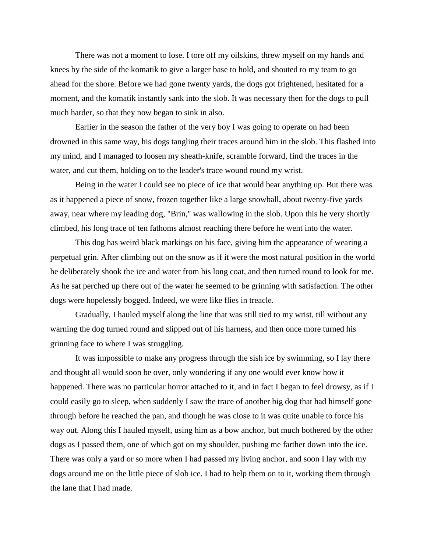There was not a moment to lose. I tore off my oilskins, threw myself on my hands and knees by the side of the komatik to give a larger base to hold, and shouted to my team to go ahead for the shore. Before we had gone twenty yards, the dogs got frightened, hesitated for a moment, and the komatik instantly sank into the slob. It was necessary then for the dogs to pull much harder, so that they now began to sink in also.

Earlier in the season the father of the very boy I was going to operate on had been drowned in this same way, his dogs tangling their traces around him in the slob. This flashed into my mind, and I managed to loosen my sheath-knife, scramble forward, find the traces in the water, and cut them, holding on to the leader's trace wound round my wrist.

Being in the water I could see no piece of ice that would bear anything up. But there was as it happened a piece of snow, frozen together like a large snowball, about twenty-five yards away, near where my leading dog, "Brin," was wallowing in the slob. Upon this he very shortly climbed, his long trace of ten fathoms almost reaching there before he went into the water.

This dog has weird black markings on his face, giving him the appearance of wearing a perpetual grin. After climbing out on the snow as if it were the most natural position in the world he deliberately shook the ice and water from his long coat, and then turned round to look for me. As he sat perched up there out of the water he seemed to be grinning with satisfaction. The other dogs were hopelessly bogged. Indeed, we were like flies in treacle.

Gradually, I hauled myself along the line that was still tied to my wrist, till without any warning the dog turned round and slipped out of his harness, and then once more turned his grinning face to where I was struggling.

It was impossible to make any progress through the sish ice by swimming, so I lay there and thought all would soon be over, only wondering if any one would ever know how it happened. There was no particular horror attached to it, and in fact I began to feel drowsy, as if I could easily go to sleep, when suddenly I saw the trace of another big dog that had himself gone through before he reached the pan, and though he was close to it was quite unable to force his way out. Along this I hauled myself, using him as a bow anchor, but much bothered by the other dogs as I passed them, one of which got on my shoulder, pushing me farther down into the ice. There was only a yard or so more when I had passed my living anchor, and soon I lay with my dogs around me on the little piece of slob ice. I had to help them on to it, working them through the lane that I had made.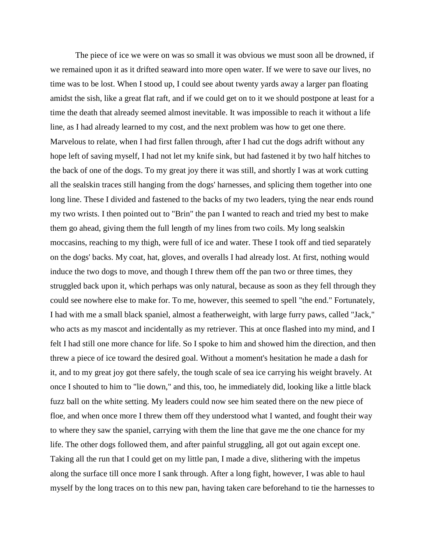The piece of ice we were on was so small it was obvious we must soon all be drowned, if we remained upon it as it drifted seaward into more open water. If we were to save our lives, no time was to be lost. When I stood up, I could see about twenty yards away a larger pan floating amidst the sish, like a great flat raft, and if we could get on to it we should postpone at least for a time the death that already seemed almost inevitable. It was impossible to reach it without a life line, as I had already learned to my cost, and the next problem was how to get one there. Marvelous to relate, when I had first fallen through, after I had cut the dogs adrift without any hope left of saving myself, I had not let my knife sink, but had fastened it by two half hitches to the back of one of the dogs. To my great joy there it was still, and shortly I was at work cutting all the sealskin traces still hanging from the dogs' harnesses, and splicing them together into one long line. These I divided and fastened to the backs of my two leaders, tying the near ends round my two wrists. I then pointed out to "Brin" the pan I wanted to reach and tried my best to make them go ahead, giving them the full length of my lines from two coils. My long sealskin moccasins, reaching to my thigh, were full of ice and water. These I took off and tied separately on the dogs' backs. My coat, hat, gloves, and overalls I had already lost. At first, nothing would induce the two dogs to move, and though I threw them off the pan two or three times, they struggled back upon it, which perhaps was only natural, because as soon as they fell through they could see nowhere else to make for. To me, however, this seemed to spell "the end." Fortunately, I had with me a small black spaniel, almost a featherweight, with large furry paws, called "Jack," who acts as my mascot and incidentally as my retriever. This at once flashed into my mind, and I felt I had still one more chance for life. So I spoke to him and showed him the direction, and then threw a piece of ice toward the desired goal. Without a moment's hesitation he made a dash for it, and to my great joy got there safely, the tough scale of sea ice carrying his weight bravely. At once I shouted to him to "lie down," and this, too, he immediately did, looking like a little black fuzz ball on the white setting. My leaders could now see him seated there on the new piece of floe, and when once more I threw them off they understood what I wanted, and fought their way to where they saw the spaniel, carrying with them the line that gave me the one chance for my life. The other dogs followed them, and after painful struggling, all got out again except one. Taking all the run that I could get on my little pan, I made a dive, slithering with the impetus along the surface till once more I sank through. After a long fight, however, I was able to haul myself by the long traces on to this new pan, having taken care beforehand to tie the harnesses to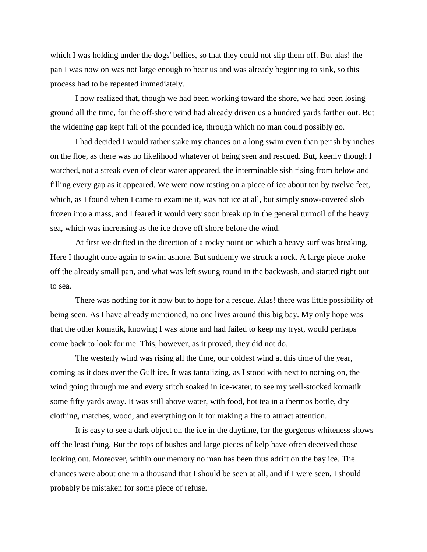which I was holding under the dogs' bellies, so that they could not slip them off. But alas! the pan I was now on was not large enough to bear us and was already beginning to sink, so this process had to be repeated immediately.

I now realized that, though we had been working toward the shore, we had been losing ground all the time, for the off-shore wind had already driven us a hundred yards farther out. But the widening gap kept full of the pounded ice, through which no man could possibly go.

I had decided I would rather stake my chances on a long swim even than perish by inches on the floe, as there was no likelihood whatever of being seen and rescued. But, keenly though I watched, not a streak even of clear water appeared, the interminable sish rising from below and filling every gap as it appeared. We were now resting on a piece of ice about ten by twelve feet, which, as I found when I came to examine it, was not ice at all, but simply snow-covered slob frozen into a mass, and I feared it would very soon break up in the general turmoil of the heavy sea, which was increasing as the ice drove off shore before the wind.

At first we drifted in the direction of a rocky point on which a heavy surf was breaking. Here I thought once again to swim ashore. But suddenly we struck a rock. A large piece broke off the already small pan, and what was left swung round in the backwash, and started right out to sea.

There was nothing for it now but to hope for a rescue. Alas! there was little possibility of being seen. As I have already mentioned, no one lives around this big bay. My only hope was that the other komatik, knowing I was alone and had failed to keep my tryst, would perhaps come back to look for me. This, however, as it proved, they did not do.

The westerly wind was rising all the time, our coldest wind at this time of the year, coming as it does over the Gulf ice. It was tantalizing, as I stood with next to nothing on, the wind going through me and every stitch soaked in ice-water, to see my well-stocked komatik some fifty yards away. It was still above water, with food, hot tea in a thermos bottle, dry clothing, matches, wood, and everything on it for making a fire to attract attention.

It is easy to see a dark object on the ice in the daytime, for the gorgeous whiteness shows off the least thing. But the tops of bushes and large pieces of kelp have often deceived those looking out. Moreover, within our memory no man has been thus adrift on the bay ice. The chances were about one in a thousand that I should be seen at all, and if I were seen, I should probably be mistaken for some piece of refuse.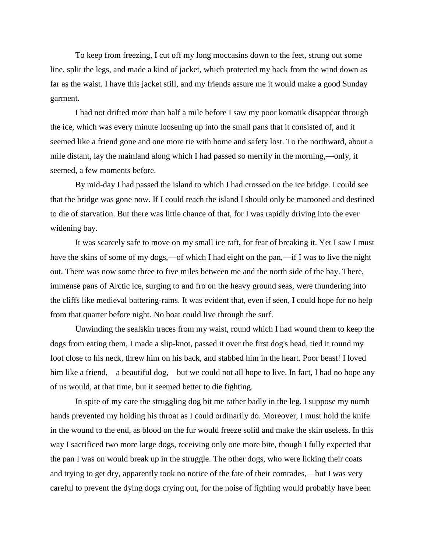To keep from freezing, I cut off my long moccasins down to the feet, strung out some line, split the legs, and made a kind of jacket, which protected my back from the wind down as far as the waist. I have this jacket still, and my friends assure me it would make a good Sunday garment.

I had not drifted more than half a mile before I saw my poor komatik disappear through the ice, which was every minute loosening up into the small pans that it consisted of, and it seemed like a friend gone and one more tie with home and safety lost. To the northward, about a mile distant, lay the mainland along which I had passed so merrily in the morning,—only, it seemed, a few moments before.

By mid-day I had passed the island to which I had crossed on the ice bridge. I could see that the bridge was gone now. If I could reach the island I should only be marooned and destined to die of starvation. But there was little chance of that, for I was rapidly driving into the ever widening bay.

It was scarcely safe to move on my small ice raft, for fear of breaking it. Yet I saw I must have the skins of some of my dogs,—of which I had eight on the pan,—if I was to live the night out. There was now some three to five miles between me and the north side of the bay. There, immense pans of Arctic ice, surging to and fro on the heavy ground seas, were thundering into the cliffs like medieval battering-rams. It was evident that, even if seen, I could hope for no help from that quarter before night. No boat could live through the surf.

Unwinding the sealskin traces from my waist, round which I had wound them to keep the dogs from eating them, I made a slip-knot, passed it over the first dog's head, tied it round my foot close to his neck, threw him on his back, and stabbed him in the heart. Poor beast! I loved him like a friend,—a beautiful dog,—but we could not all hope to live. In fact, I had no hope any of us would, at that time, but it seemed better to die fighting.

In spite of my care the struggling dog bit me rather badly in the leg. I suppose my numb hands prevented my holding his throat as I could ordinarily do. Moreover, I must hold the knife in the wound to the end, as blood on the fur would freeze solid and make the skin useless. In this way I sacrificed two more large dogs, receiving only one more bite, though I fully expected that the pan I was on would break up in the struggle. The other dogs, who were licking their coats and trying to get dry, apparently took no notice of the fate of their comrades,—but I was very careful to prevent the dying dogs crying out, for the noise of fighting would probably have been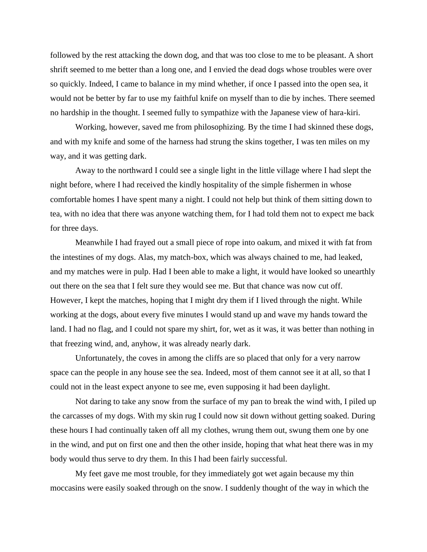followed by the rest attacking the down dog, and that was too close to me to be pleasant. A short shrift seemed to me better than a long one, and I envied the dead dogs whose troubles were over so quickly. Indeed, I came to balance in my mind whether, if once I passed into the open sea, it would not be better by far to use my faithful knife on myself than to die by inches. There seemed no hardship in the thought. I seemed fully to sympathize with the Japanese view of hara-kiri.

Working, however, saved me from philosophizing. By the time I had skinned these dogs, and with my knife and some of the harness had strung the skins together, I was ten miles on my way, and it was getting dark.

Away to the northward I could see a single light in the little village where I had slept the night before, where I had received the kindly hospitality of the simple fishermen in whose comfortable homes I have spent many a night. I could not help but think of them sitting down to tea, with no idea that there was anyone watching them, for I had told them not to expect me back for three days.

Meanwhile I had frayed out a small piece of rope into oakum, and mixed it with fat from the intestines of my dogs. Alas, my match-box, which was always chained to me, had leaked, and my matches were in pulp. Had I been able to make a light, it would have looked so unearthly out there on the sea that I felt sure they would see me. But that chance was now cut off. However, I kept the matches, hoping that I might dry them if I lived through the night. While working at the dogs, about every five minutes I would stand up and wave my hands toward the land. I had no flag, and I could not spare my shirt, for, wet as it was, it was better than nothing in that freezing wind, and, anyhow, it was already nearly dark.

Unfortunately, the coves in among the cliffs are so placed that only for a very narrow space can the people in any house see the sea. Indeed, most of them cannot see it at all, so that I could not in the least expect anyone to see me, even supposing it had been daylight.

Not daring to take any snow from the surface of my pan to break the wind with, I piled up the carcasses of my dogs. With my skin rug I could now sit down without getting soaked. During these hours I had continually taken off all my clothes, wrung them out, swung them one by one in the wind, and put on first one and then the other inside, hoping that what heat there was in my body would thus serve to dry them. In this I had been fairly successful.

My feet gave me most trouble, for they immediately got wet again because my thin moccasins were easily soaked through on the snow. I suddenly thought of the way in which the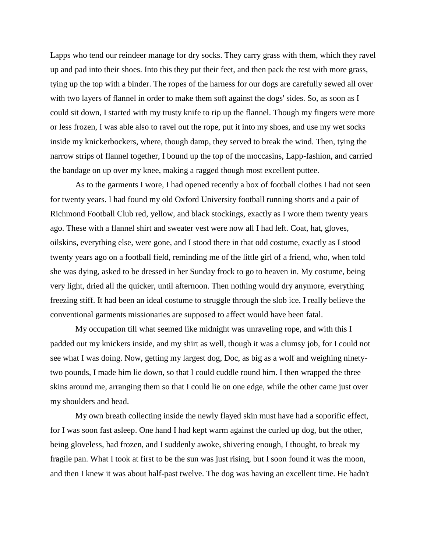Lapps who tend our reindeer manage for dry socks. They carry grass with them, which they ravel up and pad into their shoes. Into this they put their feet, and then pack the rest with more grass, tying up the top with a binder. The ropes of the harness for our dogs are carefully sewed all over with two layers of flannel in order to make them soft against the dogs' sides. So, as soon as I could sit down, I started with my trusty knife to rip up the flannel. Though my fingers were more or less frozen, I was able also to ravel out the rope, put it into my shoes, and use my wet socks inside my knickerbockers, where, though damp, they served to break the wind. Then, tying the narrow strips of flannel together, I bound up the top of the moccasins, Lapp-fashion, and carried the bandage on up over my knee, making a ragged though most excellent puttee.

As to the garments I wore, I had opened recently a box of football clothes I had not seen for twenty years. I had found my old Oxford University football running shorts and a pair of Richmond Football Club red, yellow, and black stockings, exactly as I wore them twenty years ago. These with a flannel shirt and sweater vest were now all I had left. Coat, hat, gloves, oilskins, everything else, were gone, and I stood there in that odd costume, exactly as I stood twenty years ago on a football field, reminding me of the little girl of a friend, who, when told she was dying, asked to be dressed in her Sunday frock to go to heaven in. My costume, being very light, dried all the quicker, until afternoon. Then nothing would dry anymore, everything freezing stiff. It had been an ideal costume to struggle through the slob ice. I really believe the conventional garments missionaries are supposed to affect would have been fatal.

My occupation till what seemed like midnight was unraveling rope, and with this I padded out my knickers inside, and my shirt as well, though it was a clumsy job, for I could not see what I was doing. Now, getting my largest dog, Doc, as big as a wolf and weighing ninetytwo pounds, I made him lie down, so that I could cuddle round him. I then wrapped the three skins around me, arranging them so that I could lie on one edge, while the other came just over my shoulders and head.

My own breath collecting inside the newly flayed skin must have had a soporific effect, for I was soon fast asleep. One hand I had kept warm against the curled up dog, but the other, being gloveless, had frozen, and I suddenly awoke, shivering enough, I thought, to break my fragile pan. What I took at first to be the sun was just rising, but I soon found it was the moon, and then I knew it was about half-past twelve. The dog was having an excellent time. He hadn't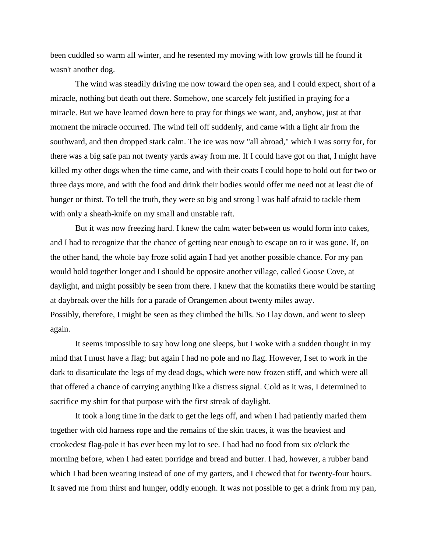been cuddled so warm all winter, and he resented my moving with low growls till he found it wasn't another dog.

The wind was steadily driving me now toward the open sea, and I could expect, short of a miracle, nothing but death out there. Somehow, one scarcely felt justified in praying for a miracle. But we have learned down here to pray for things we want, and, anyhow, just at that moment the miracle occurred. The wind fell off suddenly, and came with a light air from the southward, and then dropped stark calm. The ice was now "all abroad," which I was sorry for, for there was a big safe pan not twenty yards away from me. If I could have got on that, I might have killed my other dogs when the time came, and with their coats I could hope to hold out for two or three days more, and with the food and drink their bodies would offer me need not at least die of hunger or thirst. To tell the truth, they were so big and strong I was half afraid to tackle them with only a sheath-knife on my small and unstable raft.

But it was now freezing hard. I knew the calm water between us would form into cakes, and I had to recognize that the chance of getting near enough to escape on to it was gone. If, on the other hand, the whole bay froze solid again I had yet another possible chance. For my pan would hold together longer and I should be opposite another village, called Goose Cove, at daylight, and might possibly be seen from there. I knew that the komatiks there would be starting at daybreak over the hills for a parade of Orangemen about twenty miles away. Possibly, therefore, I might be seen as they climbed the hills. So I lay down, and went to sleep again.

It seems impossible to say how long one sleeps, but I woke with a sudden thought in my mind that I must have a flag; but again I had no pole and no flag. However, I set to work in the dark to disarticulate the legs of my dead dogs, which were now frozen stiff, and which were all that offered a chance of carrying anything like a distress signal. Cold as it was, I determined to sacrifice my shirt for that purpose with the first streak of daylight.

It took a long time in the dark to get the legs off, and when I had patiently marled them together with old harness rope and the remains of the skin traces, it was the heaviest and crookedest flag-pole it has ever been my lot to see. I had had no food from six o'clock the morning before, when I had eaten porridge and bread and butter. I had, however, a rubber band which I had been wearing instead of one of my garters, and I chewed that for twenty-four hours. It saved me from thirst and hunger, oddly enough. It was not possible to get a drink from my pan,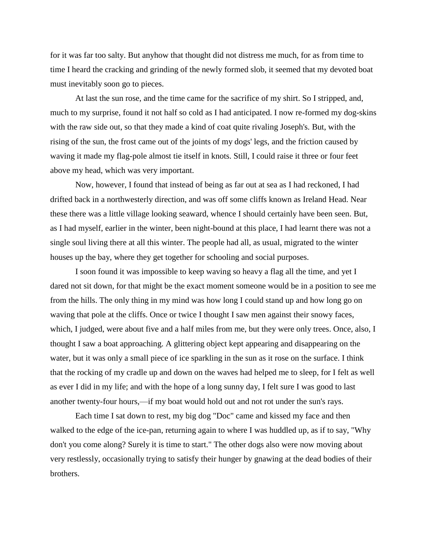for it was far too salty. But anyhow that thought did not distress me much, for as from time to time I heard the cracking and grinding of the newly formed slob, it seemed that my devoted boat must inevitably soon go to pieces.

At last the sun rose, and the time came for the sacrifice of my shirt. So I stripped, and, much to my surprise, found it not half so cold as I had anticipated. I now re-formed my dog-skins with the raw side out, so that they made a kind of coat quite rivaling Joseph's. But, with the rising of the sun, the frost came out of the joints of my dogs' legs, and the friction caused by waving it made my flag-pole almost tie itself in knots. Still, I could raise it three or four feet above my head, which was very important.

Now, however, I found that instead of being as far out at sea as I had reckoned, I had drifted back in a northwesterly direction, and was off some cliffs known as Ireland Head. Near these there was a little village looking seaward, whence I should certainly have been seen. But, as I had myself, earlier in the winter, been night-bound at this place, I had learnt there was not a single soul living there at all this winter. The people had all, as usual, migrated to the winter houses up the bay, where they get together for schooling and social purposes.

I soon found it was impossible to keep waving so heavy a flag all the time, and yet I dared not sit down, for that might be the exact moment someone would be in a position to see me from the hills. The only thing in my mind was how long I could stand up and how long go on waving that pole at the cliffs. Once or twice I thought I saw men against their snowy faces, which, I judged, were about five and a half miles from me, but they were only trees. Once, also, I thought I saw a boat approaching. A glittering object kept appearing and disappearing on the water, but it was only a small piece of ice sparkling in the sun as it rose on the surface. I think that the rocking of my cradle up and down on the waves had helped me to sleep, for I felt as well as ever I did in my life; and with the hope of a long sunny day, I felt sure I was good to last another twenty-four hours,—if my boat would hold out and not rot under the sun's rays.

Each time I sat down to rest, my big dog "Doc" came and kissed my face and then walked to the edge of the ice-pan, returning again to where I was huddled up, as if to say, "Why don't you come along? Surely it is time to start." The other dogs also were now moving about very restlessly, occasionally trying to satisfy their hunger by gnawing at the dead bodies of their brothers.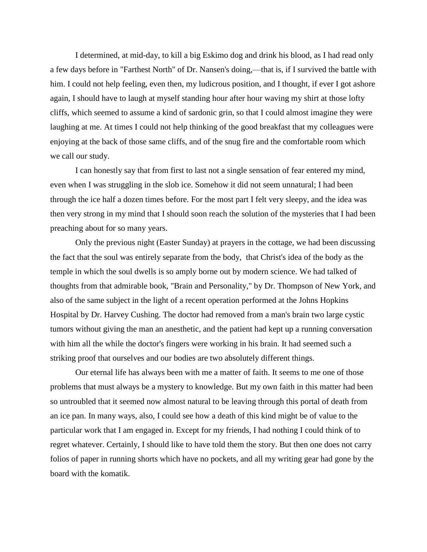I determined, at mid-day, to kill a big Eskimo dog and drink his blood, as I had read only a few days before in "Farthest North" of Dr. Nansen's doing,—that is, if I survived the battle with him. I could not help feeling, even then, my ludicrous position, and I thought, if ever I got ashore again, I should have to laugh at myself standing hour after hour waving my shirt at those lofty cliffs, which seemed to assume a kind of sardonic grin, so that I could almost imagine they were laughing at me. At times I could not help thinking of the good breakfast that my colleagues were enjoying at the back of those same cliffs, and of the snug fire and the comfortable room which we call our study.

I can honestly say that from first to last not a single sensation of fear entered my mind, even when I was struggling in the slob ice. Somehow it did not seem unnatural; I had been through the ice half a dozen times before. For the most part I felt very sleepy, and the idea was then very strong in my mind that I should soon reach the solution of the mysteries that I had been preaching about for so many years.

Only the previous night (Easter Sunday) at prayers in the cottage, we had been discussing the fact that the soul was entirely separate from the body, that Christ's idea of the body as the temple in which the soul dwells is so amply borne out by modern science. We had talked of thoughts from that admirable book, "Brain and Personality," by Dr. Thompson of New York, and also of the same subject in the light of a recent operation performed at the Johns Hopkins Hospital by Dr. Harvey Cushing. The doctor had removed from a man's brain two large cystic tumors without giving the man an anesthetic, and the patient had kept up a running conversation with him all the while the doctor's fingers were working in his brain. It had seemed such a striking proof that ourselves and our bodies are two absolutely different things.

Our eternal life has always been with me a matter of faith. It seems to me one of those problems that must always be a mystery to knowledge. But my own faith in this matter had been so untroubled that it seemed now almost natural to be leaving through this portal of death from an ice pan. In many ways, also, I could see how a death of this kind might be of value to the particular work that I am engaged in. Except for my friends, I had nothing I could think of to regret whatever. Certainly, I should like to have told them the story. But then one does not carry folios of paper in running shorts which have no pockets, and all my writing gear had gone by the board with the komatik.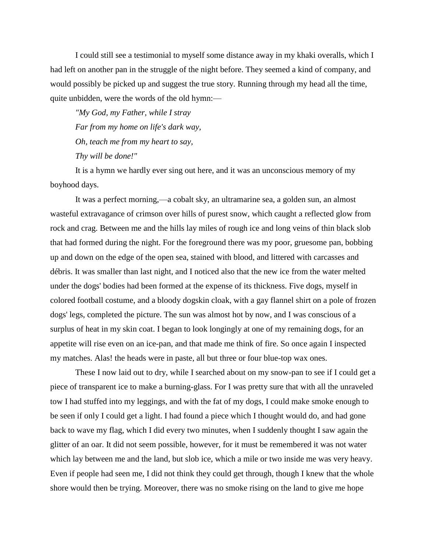I could still see a testimonial to myself some distance away in my khaki overalls, which I had left on another pan in the struggle of the night before. They seemed a kind of company, and would possibly be picked up and suggest the true story. Running through my head all the time, quite unbidden, were the words of the old hymn:—

*"My God, my Father, while I stray Far from my home on life's dark way, Oh, teach me from my heart to say, Thy will be done!"*

It is a hymn we hardly ever sing out here, and it was an unconscious memory of my boyhood days.

It was a perfect morning,—a cobalt sky, an ultramarine sea, a golden sun, an almost wasteful extravagance of crimson over hills of purest snow, which caught a reflected glow from rock and crag. Between me and the hills lay miles of rough ice and long veins of thin black slob that had formed during the night. For the foreground there was my poor, gruesome pan, bobbing up and down on the edge of the open sea, stained with blood, and littered with carcasses and débris. It was smaller than last night, and I noticed also that the new ice from the water melted under the dogs' bodies had been formed at the expense of its thickness. Five dogs, myself in colored football costume, and a bloody dogskin cloak, with a gay flannel shirt on a pole of frozen dogs' legs, completed the picture. The sun was almost hot by now, and I was conscious of a surplus of heat in my skin coat. I began to look longingly at one of my remaining dogs, for an appetite will rise even on an ice-pan, and that made me think of fire. So once again I inspected my matches. Alas! the heads were in paste, all but three or four blue-top wax ones.

These I now laid out to dry, while I searched about on my snow-pan to see if I could get a piece of transparent ice to make a burning-glass. For I was pretty sure that with all the unraveled tow I had stuffed into my leggings, and with the fat of my dogs, I could make smoke enough to be seen if only I could get a light. I had found a piece which I thought would do, and had gone back to wave my flag, which I did every two minutes, when I suddenly thought I saw again the glitter of an oar. It did not seem possible, however, for it must be remembered it was not water which lay between me and the land, but slob ice, which a mile or two inside me was very heavy. Even if people had seen me, I did not think they could get through, though I knew that the whole shore would then be trying. Moreover, there was no smoke rising on the land to give me hope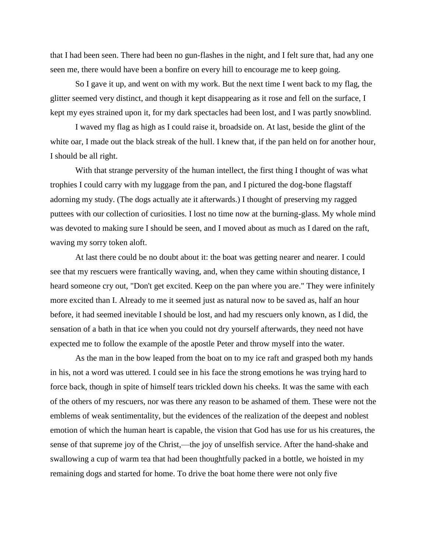that I had been seen. There had been no gun-flashes in the night, and I felt sure that, had any one seen me, there would have been a bonfire on every hill to encourage me to keep going.

So I gave it up, and went on with my work. But the next time I went back to my flag, the glitter seemed very distinct, and though it kept disappearing as it rose and fell on the surface, I kept my eyes strained upon it, for my dark spectacles had been lost, and I was partly snowblind.

I waved my flag as high as I could raise it, broadside on. At last, beside the glint of the white oar, I made out the black streak of the hull. I knew that, if the pan held on for another hour, I should be all right.

With that strange perversity of the human intellect, the first thing I thought of was what trophies I could carry with my luggage from the pan, and I pictured the dog-bone flagstaff adorning my study. (The dogs actually ate it afterwards.) I thought of preserving my ragged puttees with our collection of curiosities. I lost no time now at the burning-glass. My whole mind was devoted to making sure I should be seen, and I moved about as much as I dared on the raft, waving my sorry token aloft.

At last there could be no doubt about it: the boat was getting nearer and nearer. I could see that my rescuers were frantically waving, and, when they came within shouting distance, I heard someone cry out, "Don't get excited. Keep on the pan where you are." They were infinitely more excited than I. Already to me it seemed just as natural now to be saved as, half an hour before, it had seemed inevitable I should be lost, and had my rescuers only known, as I did, the sensation of a bath in that ice when you could not dry yourself afterwards, they need not have expected me to follow the example of the apostle Peter and throw myself into the water.

As the man in the bow leaped from the boat on to my ice raft and grasped both my hands in his, not a word was uttered. I could see in his face the strong emotions he was trying hard to force back, though in spite of himself tears trickled down his cheeks. It was the same with each of the others of my rescuers, nor was there any reason to be ashamed of them. These were not the emblems of weak sentimentality, but the evidences of the realization of the deepest and noblest emotion of which the human heart is capable, the vision that God has use for us his creatures, the sense of that supreme joy of the Christ,—the joy of unselfish service. After the hand-shake and swallowing a cup of warm tea that had been thoughtfully packed in a bottle, we hoisted in my remaining dogs and started for home. To drive the boat home there were not only five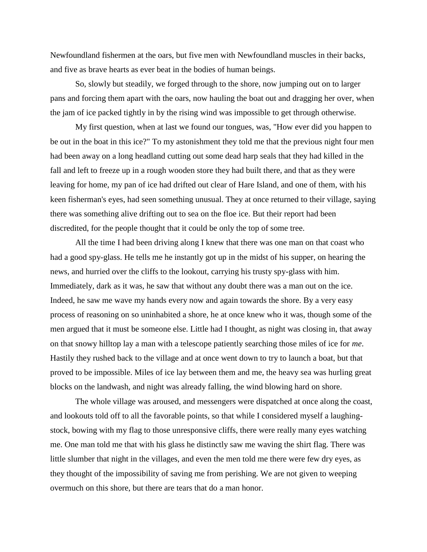Newfoundland fishermen at the oars, but five men with Newfoundland muscles in their backs, and five as brave hearts as ever beat in the bodies of human beings.

So, slowly but steadily, we forged through to the shore, now jumping out on to larger pans and forcing them apart with the oars, now hauling the boat out and dragging her over, when the jam of ice packed tightly in by the rising wind was impossible to get through otherwise.

My first question, when at last we found our tongues, was, "How ever did you happen to be out in the boat in this ice?" To my astonishment they told me that the previous night four men had been away on a long headland cutting out some dead harp seals that they had killed in the fall and left to freeze up in a rough wooden store they had built there, and that as they were leaving for home, my pan of ice had drifted out clear of Hare Island, and one of them, with his keen fisherman's eyes, had seen something unusual. They at once returned to their village, saying there was something alive drifting out to sea on the floe ice. But their report had been discredited, for the people thought that it could be only the top of some tree.

All the time I had been driving along I knew that there was one man on that coast who had a good spy-glass. He tells me he instantly got up in the midst of his supper, on hearing the news, and hurried over the cliffs to the lookout, carrying his trusty spy-glass with him. Immediately, dark as it was, he saw that without any doubt there was a man out on the ice. Indeed, he saw me wave my hands every now and again towards the shore. By a very easy process of reasoning on so uninhabited a shore, he at once knew who it was, though some of the men argued that it must be someone else. Little had I thought, as night was closing in, that away on that snowy hilltop lay a man with a telescope patiently searching those miles of ice for *me*. Hastily they rushed back to the village and at once went down to try to launch a boat, but that proved to be impossible. Miles of ice lay between them and me, the heavy sea was hurling great blocks on the landwash, and night was already falling, the wind blowing hard on shore.

The whole village was aroused, and messengers were dispatched at once along the coast, and lookouts told off to all the favorable points, so that while I considered myself a laughingstock, bowing with my flag to those unresponsive cliffs, there were really many eyes watching me. One man told me that with his glass he distinctly saw me waving the shirt flag. There was little slumber that night in the villages, and even the men told me there were few dry eyes, as they thought of the impossibility of saving me from perishing. We are not given to weeping overmuch on this shore, but there are tears that do a man honor.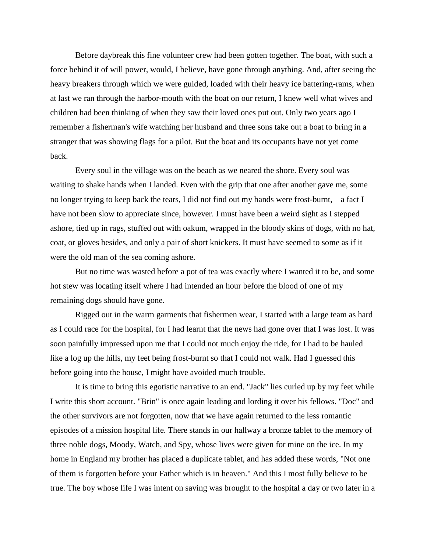Before daybreak this fine volunteer crew had been gotten together. The boat, with such a force behind it of will power, would, I believe, have gone through anything. And, after seeing the heavy breakers through which we were guided, loaded with their heavy ice battering-rams, when at last we ran through the harbor-mouth with the boat on our return, I knew well what wives and children had been thinking of when they saw their loved ones put out. Only two years ago I remember a fisherman's wife watching her husband and three sons take out a boat to bring in a stranger that was showing flags for a pilot. But the boat and its occupants have not yet come back.

Every soul in the village was on the beach as we neared the shore. Every soul was waiting to shake hands when I landed. Even with the grip that one after another gave me, some no longer trying to keep back the tears, I did not find out my hands were frost-burnt,—a fact I have not been slow to appreciate since, however. I must have been a weird sight as I stepped ashore, tied up in rags, stuffed out with oakum, wrapped in the bloody skins of dogs, with no hat, coat, or gloves besides, and only a pair of short knickers. It must have seemed to some as if it were the old man of the sea coming ashore.

But no time was wasted before a pot of tea was exactly where I wanted it to be, and some hot stew was locating itself where I had intended an hour before the blood of one of my remaining dogs should have gone.

Rigged out in the warm garments that fishermen wear, I started with a large team as hard as I could race for the hospital, for I had learnt that the news had gone over that I was lost. It was soon painfully impressed upon me that I could not much enjoy the ride, for I had to be hauled like a log up the hills, my feet being frost-burnt so that I could not walk. Had I guessed this before going into the house, I might have avoided much trouble.

It is time to bring this egotistic narrative to an end. "Jack" lies curled up by my feet while I write this short account. "Brin" is once again leading and lording it over his fellows. "Doc" and the other survivors are not forgotten, now that we have again returned to the less romantic episodes of a mission hospital life. There stands in our hallway a bronze tablet to the memory of three noble dogs, Moody, Watch, and Spy, whose lives were given for mine on the ice. In my home in England my brother has placed a duplicate tablet, and has added these words, "Not one of them is forgotten before your Father which is in heaven." And this I most fully believe to be true. The boy whose life I was intent on saving was brought to the hospital a day or two later in a